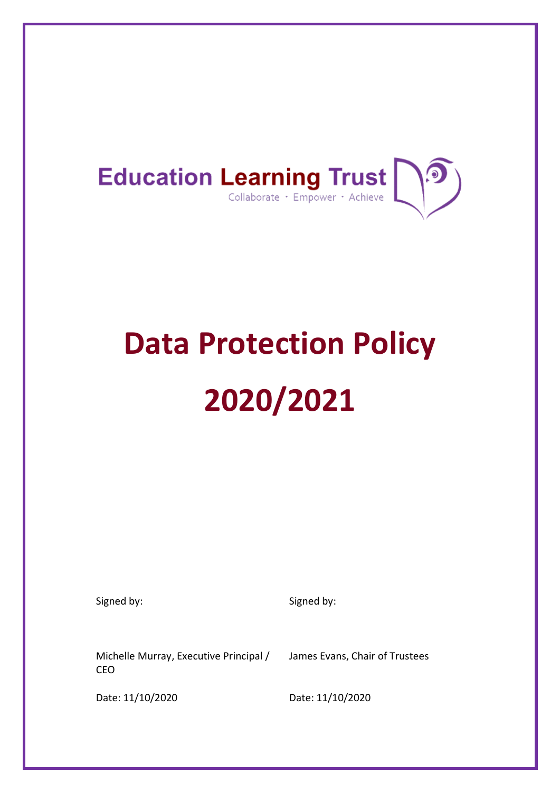

# **Data Protection Policy 2020/2021**

Signed by: Signed by: Signed by:

Michelle Murray, Executive Principal / CEO

James Evans, Chair of Trustees

Date: 11/10/2020 Date: 11/10/2020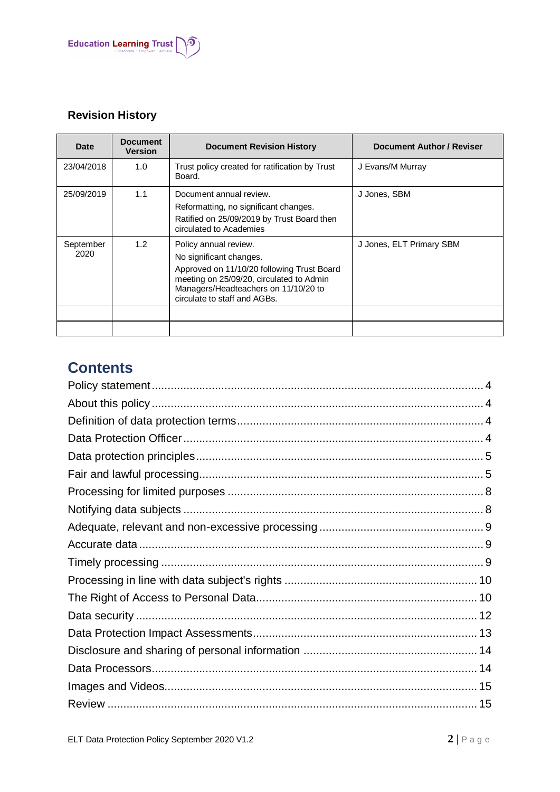

# **Revision History**

| Date              | <b>Document</b><br><b>Version</b> | <b>Document Revision History</b>                                                                                                                                                                                   | <b>Document Author / Reviser</b> |
|-------------------|-----------------------------------|--------------------------------------------------------------------------------------------------------------------------------------------------------------------------------------------------------------------|----------------------------------|
| 23/04/2018        | 1.0                               | Trust policy created for ratification by Trust<br>Board.                                                                                                                                                           | J Evans/M Murray                 |
| 25/09/2019        | 1.1                               | Document annual review.<br>Reformatting, no significant changes.<br>Ratified on 25/09/2019 by Trust Board then<br>circulated to Academies                                                                          | J Jones, SBM                     |
| September<br>2020 | 1.2                               | Policy annual review.<br>No significant changes.<br>Approved on 11/10/20 following Trust Board<br>meeting on 25/09/20, circulated to Admin<br>Managers/Headteachers on 11/10/20 to<br>circulate to staff and AGBs. | J Jones, ELT Primary SBM         |
|                   |                                   |                                                                                                                                                                                                                    |                                  |

# **Contents**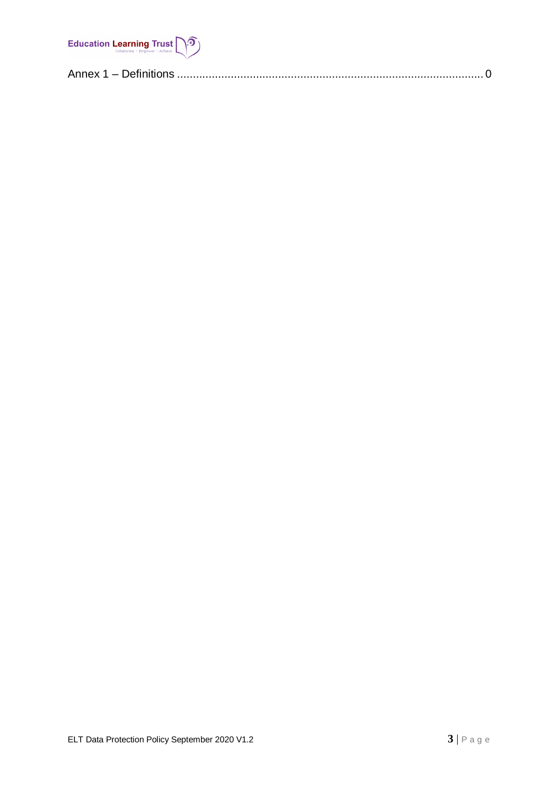

|--|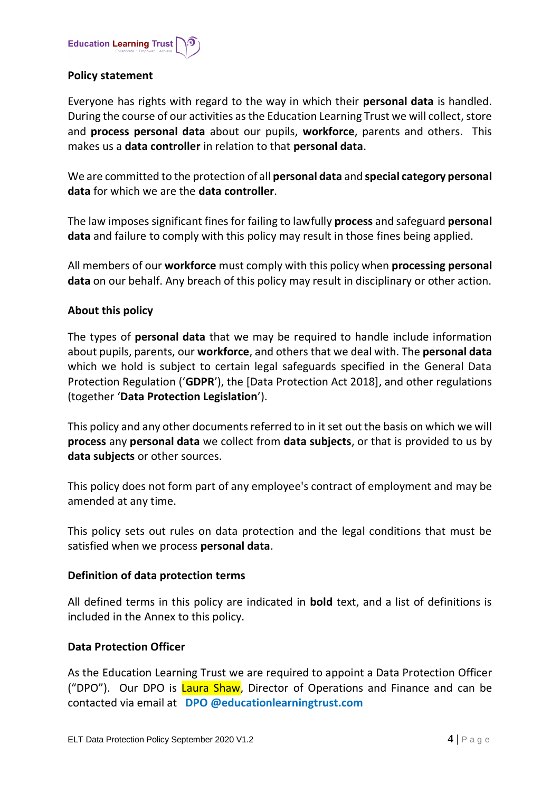

# <span id="page-3-0"></span>**Policy statement**

Everyone has rights with regard to the way in which their **personal data** is handled. During the course of our activities as the Education Learning Trust we will collect, store and **process personal data** about our pupils, **workforce**, parents and others. This makes us a **data controller** in relation to that **personal data**.

We are committed to the protection of all **personal data** and **special category personal data** for which we are the **data controller**.

The law imposes significant fines for failing to lawfully **process** and safeguard **personal data** and failure to comply with this policy may result in those fines being applied.

All members of our **workforce** must comply with this policy when **processing personal data** on our behalf. Any breach of this policy may result in disciplinary or other action.

# <span id="page-3-1"></span>**About this policy**

The types of **personal data** that we may be required to handle include information about pupils, parents, our **workforce**, and others that we deal with. The **personal data** which we hold is subject to certain legal safeguards specified in the General Data Protection Regulation ('**GDPR**'), the [Data Protection Act 2018], and other regulations (together '**Data Protection Legislation**').

This policy and any other documents referred to in it set out the basis on which we will **process** any **personal data** we collect from **data subjects**, or that is provided to us by **data subjects** or other sources.

This policy does not form part of any employee's contract of employment and may be amended at any time.

This policy sets out rules on data protection and the legal conditions that must be satisfied when we process **personal data**.

# <span id="page-3-2"></span>**Definition of data protection terms**

All defined terms in this policy are indicated in **bold** text, and a list of definitions is included in the Annex to this policy.

#### <span id="page-3-3"></span>**Data Protection Officer**

As the Education Learning Trust we are required to appoint a Data Protection Officer ("DPO"). Our DPO is Laura Shaw, Director of Operations and Finance and can be contacted via email at **DPO @educationlearningtrust.com**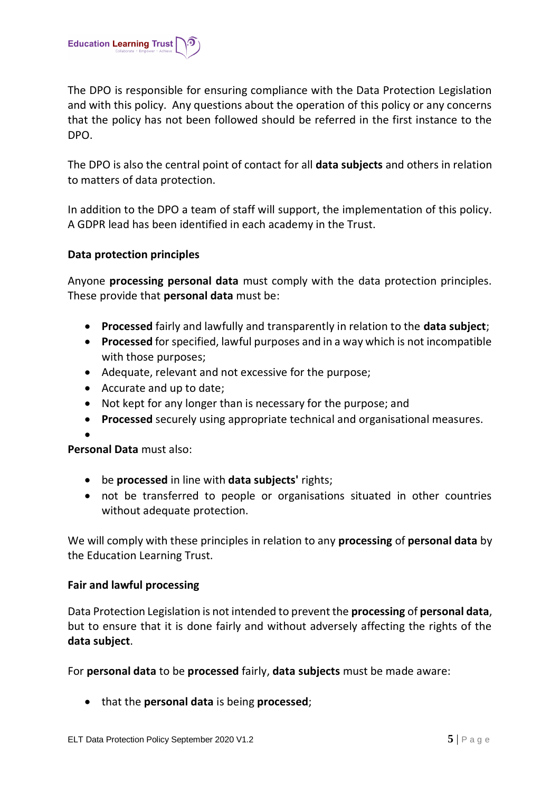

The DPO is responsible for ensuring compliance with the Data Protection Legislation and with this policy. Any questions about the operation of this policy or any concerns that the policy has not been followed should be referred in the first instance to the DPO.

The DPO is also the central point of contact for all **data subjects** and others in relation to matters of data protection.

In addition to the DPO a team of staff will support, the implementation of this policy. A GDPR lead has been identified in each academy in the Trust.

# <span id="page-4-0"></span>**Data protection principles**

Anyone **processing personal data** must comply with the data protection principles. These provide that **personal data** must be:

- **Processed** fairly and lawfully and transparently in relation to the **data subject**;
- **Processed** for specified, lawful purposes and in a way which is not incompatible with those purposes;
- Adequate, relevant and not excessive for the purpose;
- Accurate and up to date;
- Not kept for any longer than is necessary for the purpose; and
- **Processed** securely using appropriate technical and organisational measures.

 $\bullet$ 

**Personal Data** must also:

- be **processed** in line with **data subjects'** rights;
- not be transferred to people or organisations situated in other countries without adequate protection.

We will comply with these principles in relation to any **processing** of **personal data** by the Education Learning Trust.

# <span id="page-4-1"></span>**Fair and lawful processing**

Data Protection Legislation is not intended to prevent the **processing** of **personal data**, but to ensure that it is done fairly and without adversely affecting the rights of the **data subject**.

For **personal data** to be **processed** fairly, **data subjects** must be made aware:

that the **personal data** is being **processed**;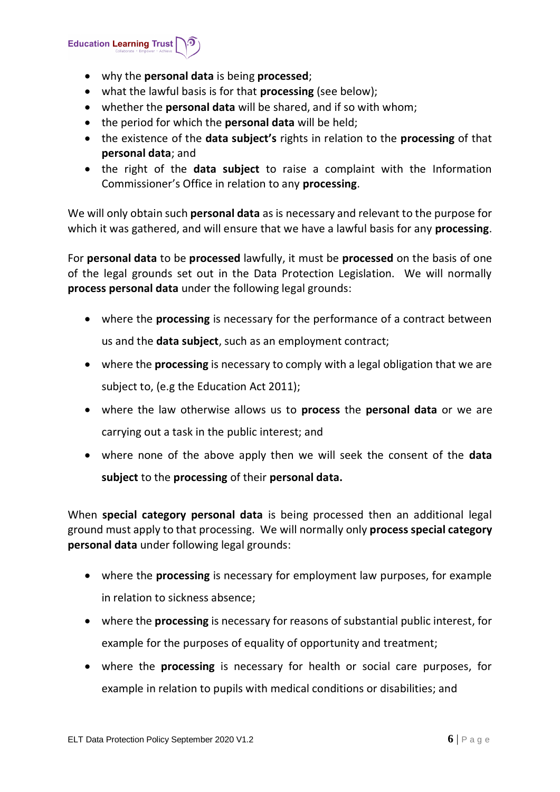**Education Learning Trust** 

- why the **personal data** is being **processed**;
- what the lawful basis is for that **processing** (see below);
- whether the **personal data** will be shared, and if so with whom;
- the period for which the **personal data** will be held;
- the existence of the **data subject's** rights in relation to the **processing** of that **personal data**; and
- the right of the **data subject** to raise a complaint with the Information Commissioner's Office in relation to any **processing**.

We will only obtain such **personal data** as is necessary and relevant to the purpose for which it was gathered, and will ensure that we have a lawful basis for any **processing**.

For **personal data** to be **processed** lawfully, it must be **processed** on the basis of one of the legal grounds set out in the Data Protection Legislation. We will normally **process personal data** under the following legal grounds:

- where the **processing** is necessary for the performance of a contract between us and the **data subject**, such as an employment contract;
- where the **processing** is necessary to comply with a legal obligation that we are subject to, (e.g the Education Act 2011);
- where the law otherwise allows us to **process** the **personal data** or we are carrying out a task in the public interest; and
- where none of the above apply then we will seek the consent of the **data subject** to the **processing** of their **personal data.**

When **special category personal data** is being processed then an additional legal ground must apply to that processing. We will normally only **process special category personal data** under following legal grounds:

- where the **processing** is necessary for employment law purposes, for example in relation to sickness absence;
- where the **processing** is necessary for reasons of substantial public interest, for example for the purposes of equality of opportunity and treatment;
- where the **processing** is necessary for health or social care purposes, for example in relation to pupils with medical conditions or disabilities; and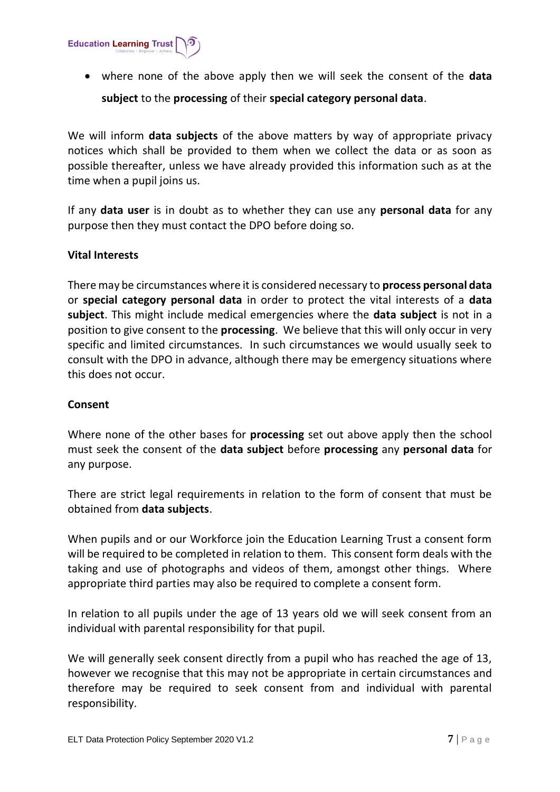

 where none of the above apply then we will seek the consent of the **data subject** to the **processing** of their **special category personal data**.

We will inform **data subjects** of the above matters by way of appropriate privacy notices which shall be provided to them when we collect the data or as soon as possible thereafter, unless we have already provided this information such as at the time when a pupil joins us.

If any **data user** is in doubt as to whether they can use any **personal data** for any purpose then they must contact the DPO before doing so.

# **Vital Interests**

There may be circumstances where it is considered necessary to **process personal data**  or **special category personal data** in order to protect the vital interests of a **data subject**. This might include medical emergencies where the **data subject** is not in a position to give consent to the **processing**. We believe that this will only occur in very specific and limited circumstances. In such circumstances we would usually seek to consult with the DPO in advance, although there may be emergency situations where this does not occur.

# **Consent**

Where none of the other bases for **processing** set out above apply then the school must seek the consent of the **data subject** before **processing** any **personal data** for any purpose.

There are strict legal requirements in relation to the form of consent that must be obtained from **data subjects**.

When pupils and or our Workforce join the Education Learning Trust a consent form will be required to be completed in relation to them. This consent form deals with the taking and use of photographs and videos of them, amongst other things. Where appropriate third parties may also be required to complete a consent form.

In relation to all pupils under the age of 13 years old we will seek consent from an individual with parental responsibility for that pupil.

We will generally seek consent directly from a pupil who has reached the age of 13, however we recognise that this may not be appropriate in certain circumstances and therefore may be required to seek consent from and individual with parental responsibility.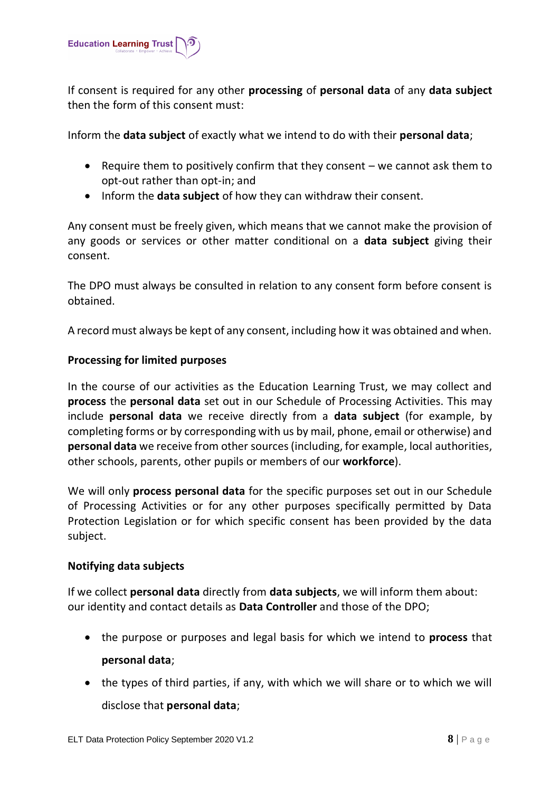

If consent is required for any other **processing** of **personal data** of any **data subject** then the form of this consent must:

Inform the **data subject** of exactly what we intend to do with their **personal data**;

- **•** Require them to positively confirm that they consent  $-$  we cannot ask them to opt-out rather than opt-in; and
- Inform the **data subject** of how they can withdraw their consent.

Any consent must be freely given, which means that we cannot make the provision of any goods or services or other matter conditional on a **data subject** giving their consent.

The DPO must always be consulted in relation to any consent form before consent is obtained.

A record must always be kept of any consent, including how it was obtained and when.

# <span id="page-7-0"></span>**Processing for limited purposes**

In the course of our activities as the Education Learning Trust, we may collect and **process** the **personal data** set out in our Schedule of Processing Activities. This may include **personal data** we receive directly from a **data subject** (for example, by completing forms or by corresponding with us by mail, phone, email or otherwise) and **personal data** we receive from other sources (including, for example, local authorities, other schools, parents, other pupils or members of our **workforce**).

We will only **process personal data** for the specific purposes set out in our Schedule of Processing Activities or for any other purposes specifically permitted by Data Protection Legislation or for which specific consent has been provided by the data subject.

# <span id="page-7-1"></span>**Notifying data subjects**

If we collect **personal data** directly from **data subjects**, we will inform them about: our identity and contact details as **Data Controller** and those of the DPO;

- the purpose or purposes and legal basis for which we intend to **process** that **personal data**;
- the types of third parties, if any, with which we will share or to which we will disclose that **personal data**;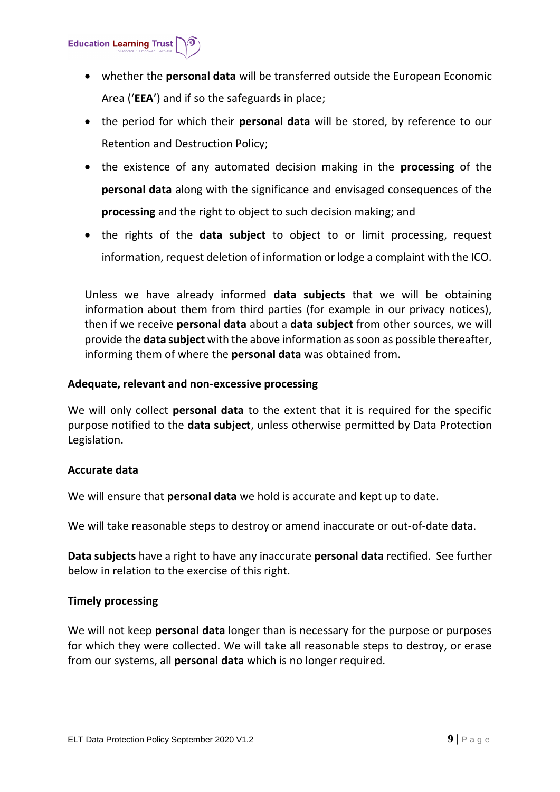**Education Learning Trust** 

- whether the **personal data** will be transferred outside the European Economic Area ('**EEA**') and if so the safeguards in place;
- the period for which their **personal data** will be stored, by reference to our Retention and Destruction Policy;
- the existence of any automated decision making in the **processing** of the **personal data** along with the significance and envisaged consequences of the **processing** and the right to object to such decision making; and
- the rights of the **data subject** to object to or limit processing, request information, request deletion of information or lodge a complaint with the ICO.

Unless we have already informed **data subjects** that we will be obtaining information about them from third parties (for example in our privacy notices), then if we receive **personal data** about a **data subject** from other sources, we will provide the **data subject** with the above information as soon as possible thereafter, informing them of where the **personal data** was obtained from.

# <span id="page-8-0"></span>**Adequate, relevant and non-excessive processing**

We will only collect **personal data** to the extent that it is required for the specific purpose notified to the **data subject**, unless otherwise permitted by Data Protection Legislation.

# <span id="page-8-1"></span>**Accurate data**

We will ensure that **personal data** we hold is accurate and kept up to date.

We will take reasonable steps to destroy or amend inaccurate or out-of-date data.

**Data subjects** have a right to have any inaccurate **personal data** rectified. See further below in relation to the exercise of this right.

# <span id="page-8-2"></span>**Timely processing**

We will not keep **personal data** longer than is necessary for the purpose or purposes for which they were collected. We will take all reasonable steps to destroy, or erase from our systems, all **personal data** which is no longer required.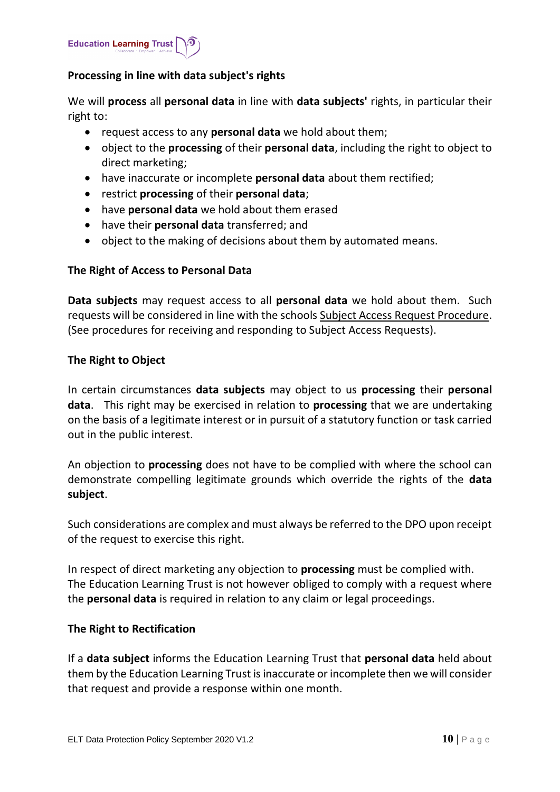

# <span id="page-9-0"></span>**Processing in line with data subject's rights**

We will **process** all **personal data** in line with **data subjects'** rights, in particular their right to:

- request access to any **personal data** we hold about them;
- object to the **processing** of their **personal data**, including the right to object to direct marketing;
- have inaccurate or incomplete **personal data** about them rectified;
- restrict **processing** of their **personal data**;
- have **personal data** we hold about them erased
- have their **personal data** transferred; and
- object to the making of decisions about them by automated means.

# <span id="page-9-1"></span>**The Right of Access to Personal Data**

**Data subjects** may request access to all **personal data** we hold about them. Such requests will be considered in line with the schools Subject Access Request Procedure. (See procedures for receiving and responding to Subject Access Requests).

#### **The Right to Object**

In certain circumstances **data subjects** may object to us **processing** their **personal data**. This right may be exercised in relation to **processing** that we are undertaking on the basis of a legitimate interest or in pursuit of a statutory function or task carried out in the public interest.

An objection to **processing** does not have to be complied with where the school can demonstrate compelling legitimate grounds which override the rights of the **data subject**.

Such considerations are complex and must always be referred to the DPO upon receipt of the request to exercise this right.

In respect of direct marketing any objection to **processing** must be complied with. The Education Learning Trust is not however obliged to comply with a request where the **personal data** is required in relation to any claim or legal proceedings.

# **The Right to Rectification**

If a **data subject** informs the Education Learning Trust that **personal data** held about them by the Education Learning Trust is inaccurate or incomplete then we will consider that request and provide a response within one month.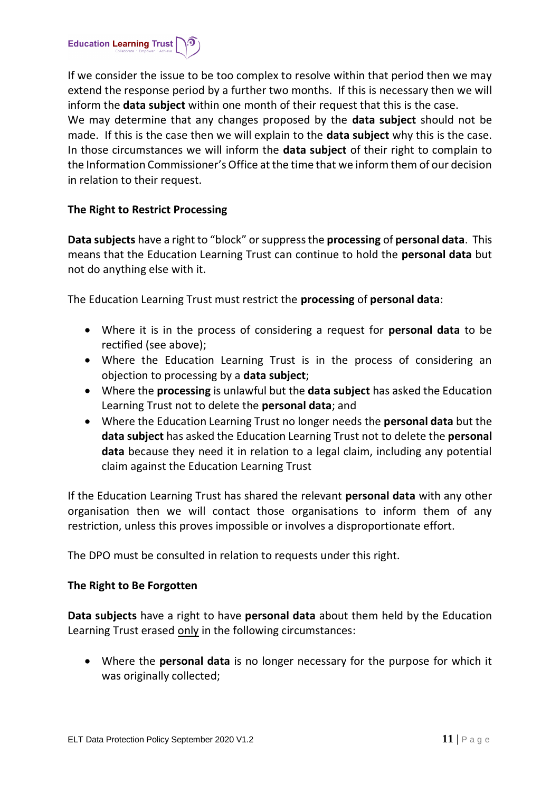

If we consider the issue to be too complex to resolve within that period then we may extend the response period by a further two months. If this is necessary then we will inform the **data subject** within one month of their request that this is the case. We may determine that any changes proposed by the **data subject** should not be made. If this is the case then we will explain to the **data subject** why this is the case. In those circumstances we will inform the **data subject** of their right to complain to the Information Commissioner's Office at the time that we inform them of our decision in relation to their request.

# **The Right to Restrict Processing**

**Data subjects** have a right to "block" or suppress the **processing** of **personal data**. This means that the Education Learning Trust can continue to hold the **personal data** but not do anything else with it.

The Education Learning Trust must restrict the **processing** of **personal data**:

- Where it is in the process of considering a request for **personal data** to be rectified (see above);
- Where the Education Learning Trust is in the process of considering an objection to processing by a **data subject**;
- Where the **processing** is unlawful but the **data subject** has asked the Education Learning Trust not to delete the **personal data**; and
- Where the Education Learning Trust no longer needs the **personal data** but the **data subject** has asked the Education Learning Trust not to delete the **personal data** because they need it in relation to a legal claim, including any potential claim against the Education Learning Trust

If the Education Learning Trust has shared the relevant **personal data** with any other organisation then we will contact those organisations to inform them of any restriction, unless this proves impossible or involves a disproportionate effort.

The DPO must be consulted in relation to requests under this right.

# **The Right to Be Forgotten**

**Data subjects** have a right to have **personal data** about them held by the Education Learning Trust erased only in the following circumstances:

 Where the **personal data** is no longer necessary for the purpose for which it was originally collected;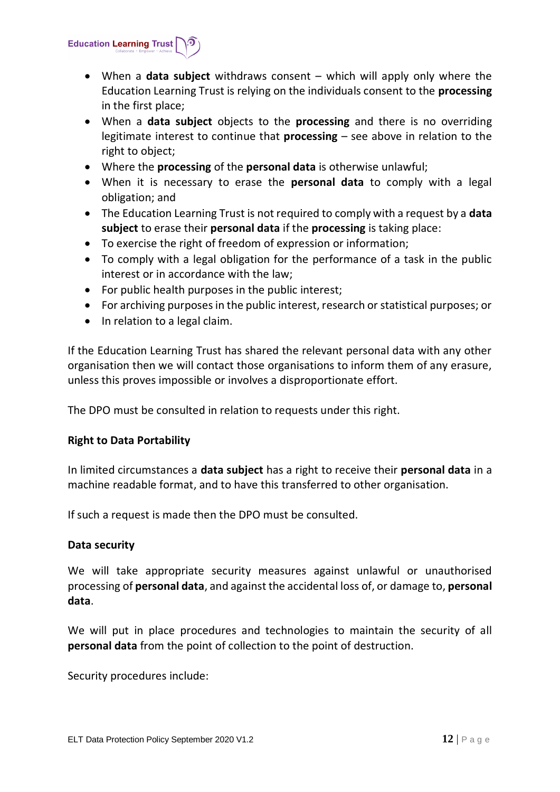

- When a **data subject** withdraws consent which will apply only where the Education Learning Trust is relying on the individuals consent to the **processing** in the first place;
- When a **data subject** objects to the **processing** and there is no overriding legitimate interest to continue that **processing** – see above in relation to the right to object;
- Where the **processing** of the **personal data** is otherwise unlawful;
- When it is necessary to erase the **personal data** to comply with a legal obligation; and
- The Education Learning Trust is not required to comply with a request by a **data subject** to erase their **personal data** if the **processing** is taking place:
- To exercise the right of freedom of expression or information;
- To comply with a legal obligation for the performance of a task in the public interest or in accordance with the law;
- For public health purposes in the public interest;
- For archiving purposes in the public interest, research or statistical purposes; or
- In relation to a legal claim.

If the Education Learning Trust has shared the relevant personal data with any other organisation then we will contact those organisations to inform them of any erasure, unless this proves impossible or involves a disproportionate effort.

The DPO must be consulted in relation to requests under this right.

# **Right to Data Portability**

In limited circumstances a **data subject** has a right to receive their **personal data** in a machine readable format, and to have this transferred to other organisation.

If such a request is made then the DPO must be consulted.

# <span id="page-11-0"></span>**Data security**

We will take appropriate security measures against unlawful or unauthorised processing of **personal data**, and against the accidental loss of, or damage to, **personal data**.

We will put in place procedures and technologies to maintain the security of all **personal data** from the point of collection to the point of destruction.

Security procedures include: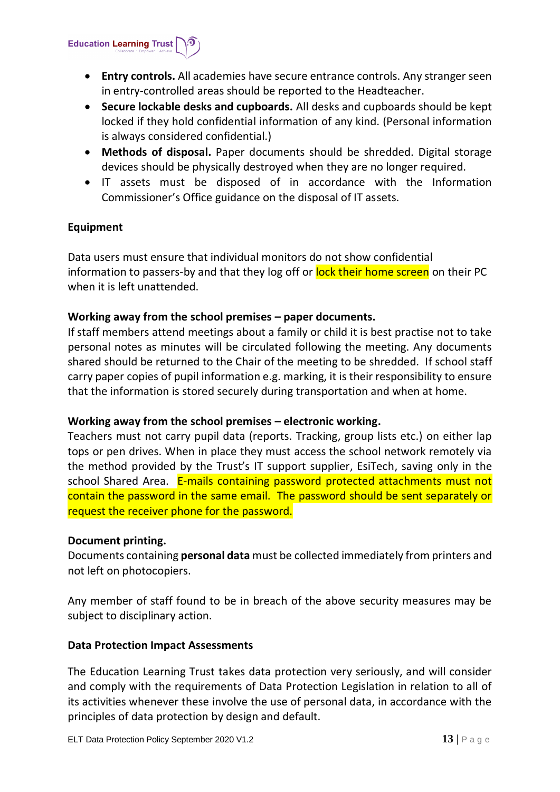**Education Learning Trust** 

- **Entry controls.** All academies have secure entrance controls. Any stranger seen in entry-controlled areas should be reported to the Headteacher.
- **Secure lockable desks and cupboards.** All desks and cupboards should be kept locked if they hold confidential information of any kind. (Personal information is always considered confidential.)
- **Methods of disposal.** Paper documents should be shredded. Digital storage devices should be physically destroyed when they are no longer required.
- IT assets must be disposed of in accordance with the Information Commissioner's Office guidance on the disposal of IT assets.

# **Equipment**

Data users must ensure that individual monitors do not show confidential information to passers-by and that they log off or lock their home screen on their PC when it is left unattended.

# **Working away from the school premises – paper documents.**

If staff members attend meetings about a family or child it is best practise not to take personal notes as minutes will be circulated following the meeting. Any documents shared should be returned to the Chair of the meeting to be shredded. If school staff carry paper copies of pupil information e.g. marking, it is their responsibility to ensure that the information is stored securely during transportation and when at home.

# **Working away from the school premises – electronic working.**

Teachers must not carry pupil data (reports. Tracking, group lists etc.) on either lap tops or pen drives. When in place they must access the school network remotely via the method provided by the Trust's IT support supplier, EsiTech, saving only in the school Shared Area. E-mails containing password protected attachments must not contain the password in the same email. The password should be sent separately or request the receiver phone for the password.

# **Document printing.**

Documents containing **personal data** must be collected immediately from printers and not left on photocopiers.

Any member of staff found to be in breach of the above security measures may be subject to disciplinary action.

# <span id="page-12-0"></span>**Data Protection Impact Assessments**

The Education Learning Trust takes data protection very seriously, and will consider and comply with the requirements of Data Protection Legislation in relation to all of its activities whenever these involve the use of personal data, in accordance with the principles of data protection by design and default.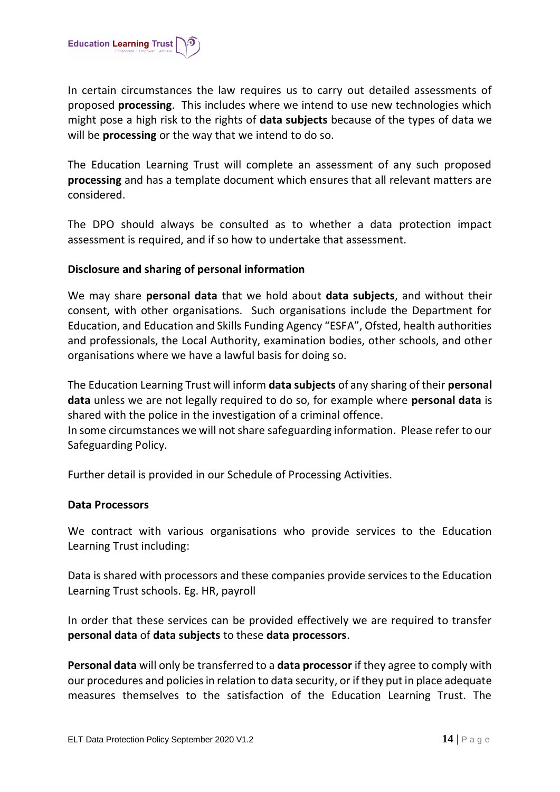

In certain circumstances the law requires us to carry out detailed assessments of proposed **processing**. This includes where we intend to use new technologies which might pose a high risk to the rights of **data subjects** because of the types of data we will be **processing** or the way that we intend to do so.

The Education Learning Trust will complete an assessment of any such proposed **processing** and has a template document which ensures that all relevant matters are considered.

The DPO should always be consulted as to whether a data protection impact assessment is required, and if so how to undertake that assessment.

# <span id="page-13-0"></span>**Disclosure and sharing of personal information**

We may share **personal data** that we hold about **data subjects**, and without their consent, with other organisations. Such organisations include the Department for Education, and Education and Skills Funding Agency "ESFA", Ofsted, health authorities and professionals, the Local Authority, examination bodies, other schools, and other organisations where we have a lawful basis for doing so.

The Education Learning Trust will inform **data subjects** of any sharing of their **personal data** unless we are not legally required to do so, for example where **personal data** is shared with the police in the investigation of a criminal offence.

In some circumstances we will not share safeguarding information. Please refer to our Safeguarding Policy.

Further detail is provided in our Schedule of Processing Activities.

# <span id="page-13-1"></span>**Data Processors**

We contract with various organisations who provide services to the Education Learning Trust including:

Data is shared with processors and these companies provide services to the Education Learning Trust schools. Eg. HR, payroll

In order that these services can be provided effectively we are required to transfer **personal data** of **data subjects** to these **data processors**.

**Personal data** will only be transferred to a **data processor** if they agree to comply with our procedures and policies in relation to data security, or if they put in place adequate measures themselves to the satisfaction of the Education Learning Trust. The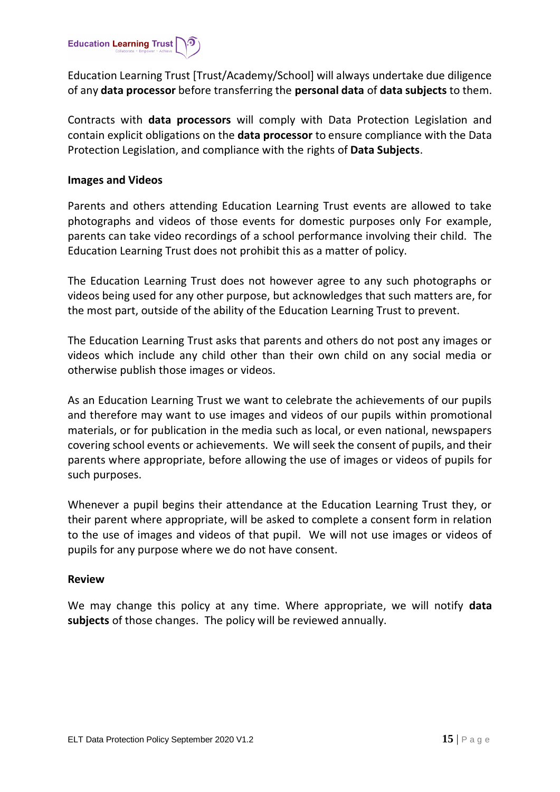

Education Learning Trust [Trust/Academy/School] will always undertake due diligence of any **data processor** before transferring the **personal data** of **data subjects** to them.

Contracts with **data processors** will comply with Data Protection Legislation and contain explicit obligations on the **data processor** to ensure compliance with the Data Protection Legislation, and compliance with the rights of **Data Subjects**.

### <span id="page-14-0"></span>**Images and Videos**

Parents and others attending Education Learning Trust events are allowed to take photographs and videos of those events for domestic purposes only For example, parents can take video recordings of a school performance involving their child. The Education Learning Trust does not prohibit this as a matter of policy.

The Education Learning Trust does not however agree to any such photographs or videos being used for any other purpose, but acknowledges that such matters are, for the most part, outside of the ability of the Education Learning Trust to prevent.

The Education Learning Trust asks that parents and others do not post any images or videos which include any child other than their own child on any social media or otherwise publish those images or videos.

As an Education Learning Trust we want to celebrate the achievements of our pupils and therefore may want to use images and videos of our pupils within promotional materials, or for publication in the media such as local, or even national, newspapers covering school events or achievements. We will seek the consent of pupils, and their parents where appropriate, before allowing the use of images or videos of pupils for such purposes.

Whenever a pupil begins their attendance at the Education Learning Trust they, or their parent where appropriate, will be asked to complete a consent form in relation to the use of images and videos of that pupil. We will not use images or videos of pupils for any purpose where we do not have consent.

# <span id="page-14-1"></span>**Review**

We may change this policy at any time. Where appropriate, we will notify **data subjects** of those changes. The policy will be reviewed annually.